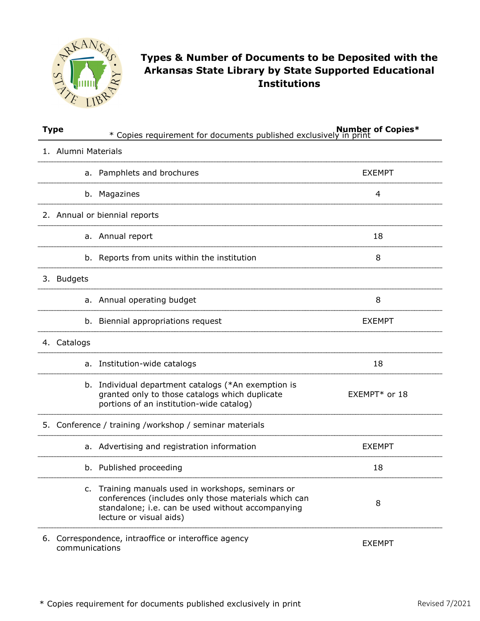

## **Types & Number of Documents to be Deposited with the Arkansas State Library by State Supported Educational Institutions**

| <b>Type</b>                                                                             | * Copies requirement for documents published exclusively in print                                                                                                                          |               |  |  |  |
|-----------------------------------------------------------------------------------------|--------------------------------------------------------------------------------------------------------------------------------------------------------------------------------------------|---------------|--|--|--|
| 1. Alumni Materials                                                                     |                                                                                                                                                                                            |               |  |  |  |
|                                                                                         | a. Pamphlets and brochures                                                                                                                                                                 | <b>EXEMPT</b> |  |  |  |
|                                                                                         | b. Magazines                                                                                                                                                                               | 4             |  |  |  |
|                                                                                         | 2. Annual or biennial reports                                                                                                                                                              |               |  |  |  |
|                                                                                         | a. Annual report                                                                                                                                                                           | 18            |  |  |  |
|                                                                                         | b. Reports from units within the institution                                                                                                                                               | 8             |  |  |  |
|                                                                                         | 3. Budgets                                                                                                                                                                                 |               |  |  |  |
|                                                                                         | Annual operating budget<br>a.                                                                                                                                                              | 8             |  |  |  |
|                                                                                         | b. Biennial appropriations request                                                                                                                                                         | <b>EXEMPT</b> |  |  |  |
| 4. Catalogs                                                                             |                                                                                                                                                                                            |               |  |  |  |
| a.                                                                                      | Institution-wide catalogs                                                                                                                                                                  | 18            |  |  |  |
|                                                                                         | b. Individual department catalogs (*An exemption is<br>granted only to those catalogs which duplicate<br>portions of an institution-wide catalog)                                          | EXEMPT* or 18 |  |  |  |
| 5. Conference / training /workshop / seminar materials                                  |                                                                                                                                                                                            |               |  |  |  |
|                                                                                         | a. Advertising and registration information                                                                                                                                                | <b>EXEMPT</b> |  |  |  |
|                                                                                         | b. Published proceeding                                                                                                                                                                    | 18            |  |  |  |
|                                                                                         | c. Training manuals used in workshops, seminars or<br>conferences (includes only those materials which can<br>standalone; i.e. can be used without accompanying<br>lecture or visual aids) | 8             |  |  |  |
| 6. Correspondence, intraoffice or interoffice agency<br><b>EXEMPT</b><br>communications |                                                                                                                                                                                            |               |  |  |  |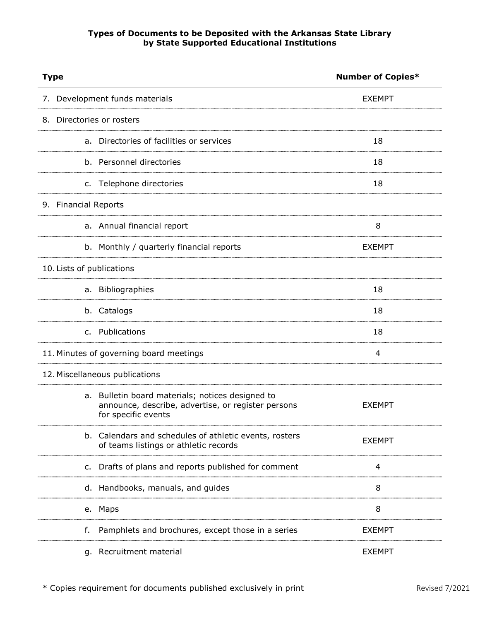## **Types of Documents to be Deposited with the Arkansas State Library by State Supported Educational Institutions**

| <b>Type</b>                                                                                                                      | <b>Number of Copies*</b> |  |
|----------------------------------------------------------------------------------------------------------------------------------|--------------------------|--|
| 7. Development funds materials                                                                                                   | <b>EXEMPT</b>            |  |
| 8. Directories or rosters                                                                                                        |                          |  |
| a. Directories of facilities or services                                                                                         | 18                       |  |
| b. Personnel directories                                                                                                         | 18                       |  |
| Telephone directories<br>c.                                                                                                      | 18                       |  |
| 9. Financial Reports                                                                                                             |                          |  |
| a. Annual financial report                                                                                                       | 8                        |  |
| Monthly / quarterly financial reports<br>b.                                                                                      | <b>EXEMPT</b>            |  |
| 10. Lists of publications                                                                                                        |                          |  |
| a. Bibliographies                                                                                                                | 18                       |  |
| b. Catalogs                                                                                                                      | 18                       |  |
| Publications<br>$\mathsf{C}$ .                                                                                                   | 18                       |  |
| 11. Minutes of governing board meetings                                                                                          | 4                        |  |
| 12. Miscellaneous publications                                                                                                   |                          |  |
| Bulletin board materials; notices designed to<br>a.<br>announce, describe, advertise, or register persons<br>for specific events | <b>EXEMPT</b>            |  |
| b. Calendars and schedules of athletic events, rosters<br>of teams listings or athletic records                                  | <b>EXEMPT</b>            |  |
| c. Drafts of plans and reports published for comment                                                                             | 4                        |  |
| d. Handbooks, manuals, and guides                                                                                                | 8                        |  |
| e. Maps                                                                                                                          | 8                        |  |
| Pamphlets and brochures, except those in a series<br>f.                                                                          | <b>EXEMPT</b>            |  |
| g. Recruitment material                                                                                                          | <b>EXEMPT</b>            |  |